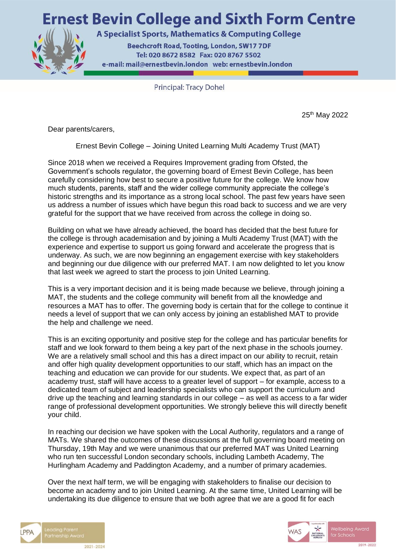**Ernest Bevin College and Sixth Form Centre** 



A Specialist Sports, Mathematics & Computing College

**Beechcroft Road, Tooting, London, SW17 7DF** Tel: 020 8672 8582 Fax: 020 8767 5502 e-mail: mail@ernestbevin.london web: ernestbevin.london

**Principal: Tracy Dohel** 

25th May 2022

Dear parents/carers,

Ernest Bevin College – Joining United Learning Multi Academy Trust (MAT)

Since 2018 when we received a Requires Improvement grading from Ofsted, the Government's schools regulator, the governing board of Ernest Bevin College, has been carefully considering how best to secure a positive future for the college. We know how much students, parents, staff and the wider college community appreciate the college's historic strengths and its importance as a strong local school. The past few years have seen us address a number of issues which have begun this road back to success and we are very grateful for the support that we have received from across the college in doing so.

Building on what we have already achieved, the board has decided that the best future for the college is through academisation and by joining a Multi Academy Trust (MAT) with the experience and expertise to support us going forward and accelerate the progress that is underway. As such, we are now beginning an engagement exercise with key stakeholders and beginning our due diligence with our preferred MAT. I am now delighted to let you know that last week we agreed to start the process to join United Learning.

This is a very important decision and it is being made because we believe, through joining a MAT, the students and the college community will benefit from all the knowledge and resources a MAT has to offer. The governing body is certain that for the college to continue it needs a level of support that we can only access by joining an established MAT to provide the help and challenge we need.

This is an exciting opportunity and positive step for the college and has particular benefits for staff and we look forward to them being a key part of the next phase in the schools journey. We are a relatively small school and this has a direct impact on our ability to recruit, retain and offer high quality development opportunities to our staff, which has an impact on the teaching and education we can provide for our students. We expect that, as part of an academy trust, staff will have access to a greater level of support – for example, access to a dedicated team of subject and leadership specialists who can support the curriculum and drive up the teaching and learning standards in our college – as well as access to a far wider range of professional development opportunities. We strongly believe this will directly benefit your child.

In reaching our decision we have spoken with the Local Authority, regulators and a range of MATs. We shared the outcomes of these discussions at the full governing board meeting on Thursday, 19th May and we were unanimous that our preferred MAT was United Learning who run ten successful London secondary schools, including Lambeth Academy, The Hurlingham Academy and Paddington Academy, and a number of primary academies.

Over the next half term, we will be engaging with stakeholders to finalise our decision to become an academy and to join United Learning. At the same time, United Learning will be undertaking its due diligence to ensure that we both agree that we are a good fit for each





2019-2022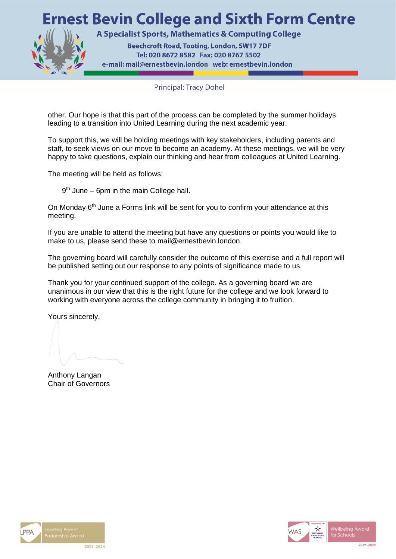**Ernest Bevin College and Sixth Form Centre** 



A Specialist Sports, Mathematics & Computing College

**Beechcroft Road, Tooting, London, SW17 7DF** Tel: 020 8672 8582 Fax: 020 8767 5502 e-mail: mail@ernestbevin.london web: ernestbevin.london

**Principal: Tracy Dohel** 

other. Our hope is that this part of the process can be completed by the summer holidays leading to a transition into United Learning during the next academic year.

To support this, we will be holding meetings with key stakeholders, including parents and staff, to seek views on our move to become an academy. At these meetings, we will be very happy to take questions, explain our thinking and hear from colleagues at United Learning.

The meeting will be held as follows:

9<sup>th</sup> June – 6pm in the main College hall.

On Monday  $6<sup>th</sup>$  June a Forms link will be sent for you to confirm your attendance at this meeting.

If you are unable to attend the meeting but have any questions or points you would like to make to us, please send these to mail@ernestbevin.london.

The governing board will carefully consider the outcome of this exercise and a full report will be published setting out our response to any points of significance made to us.

Thank you for your continued support of the college. As a governing board we are unanimous in our view that this is the right future for the college and we look forward to working with everyone across the college community in bringing it to fruition.

Yours sincerely,

Anthony Langan Chair of Governors





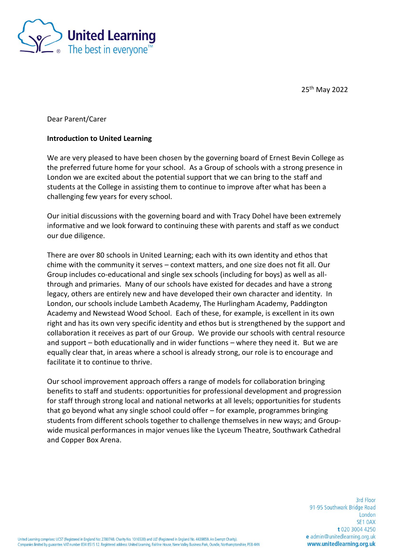



Dear Parent/Carer

## **Introduction to United Learning**

We are very pleased to have been chosen by the governing board of Ernest Bevin College as the preferred future home for your school. As a Group of schools with a strong presence in London we are excited about the potential support that we can bring to the staff and students at the College in assisting them to continue to improve after what has been a challenging few years for every school.

Our initial discussions with the governing board and with Tracy Dohel have been extremely informative and we look forward to continuing these with parents and staff as we conduct our due diligence.

There are over 80 schools in United Learning; each with its own identity and ethos that chime with the community it serves – context matters, and one size does not fit all. Our Group includes co-educational and single sex schools (including for boys) as well as allthrough and primaries. Many of our schools have existed for decades and have a strong legacy, others are entirely new and have developed their own character and identity. In London, our schools include Lambeth Academy, The Hurlingham Academy, Paddington Academy and Newstead Wood School. Each of these, for example, is excellent in its own right and has its own very specific identity and ethos but is strengthened by the support and collaboration it receives as part of our Group. We provide our schools with central resource and support – both educationally and in wider functions – where they need it. But we are equally clear that, in areas where a school is already strong, our role is to encourage and facilitate it to continue to thrive.

Our school improvement approach offers a range of models for collaboration bringing benefits to staff and students: opportunities for professional development and progression for staff through strong local and national networks at all levels; opportunities for students that go beyond what any single school could offer – for example, programmes bringing students from different schools together to challenge themselves in new ways; and Groupwide musical performances in major venues like the Lyceum Theatre, Southwark Cathedral and Copper Box Arena.

> 3rd Floor 91-95 Southwark Bridge Road London SE1 0AX t 020 3004 4250 e admin@unitedlearning.org.uk www.unitedlearning.org.uk